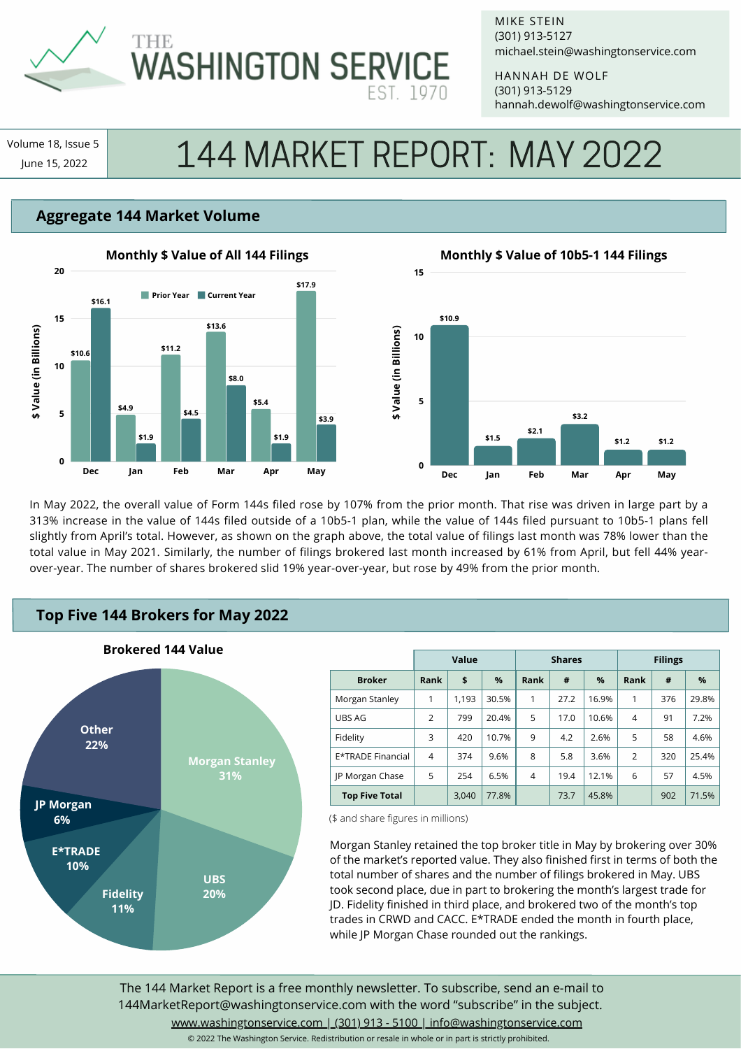

# **THE WASHINGTON SERVICE**

MIKE STEIN michael.stein@washingtonservice.com (301) 913-5127

HANNAH DE WOLF hannah.dewolf@washingtonservice.com (301) 913-5129

Volume 18, Issue 5

# Jume 18, Issue 5 144 MARKET REPORT: MAY 2022

## **Aggregate 144 Market Volume**



# **Dec Jan Feb Mar Apr May 15 10 5 0 Monthly \$ Value of 10b5-1 144 Filings \$10.9 \$1.5 \$2.1 \$3.2 \$1.2 \$1.2**

In May 2022, the overall value of Form 144s filed rose by 107% from the prior month. That rise was driven in large part by a 313% increase in the value of 144s filed outside of a 10b5-1 plan, while the value of 144s filed pursuant to 10b5-1 plans fell slightly from April's total. However, as shown on the graph above, the total value of filings last month was 78% lower than the total value in May 2021. Similarly, the number of filings brokered last month increased by 61% from April, but fell 44% yearover-year. The number of shares brokered slid 19% year-over-year, but rose by 49% from the prior month.

**\$ Value (in Billions)**

\$ Value (in Billions)

# **Top Five 144 Brokers for May 2022**



|                       | <b>Value</b>   |       |       | <b>Shares</b> |      |       | <b>Filings</b> |     |       |
|-----------------------|----------------|-------|-------|---------------|------|-------|----------------|-----|-------|
| <b>Broker</b>         | Rank           | \$    | $\%$  | Rank          | #    | $\%$  | Rank           | #   | %     |
| Morgan Stanley        | 1              | 1.193 | 30.5% | 1             | 27.2 | 16.9% | 1              | 376 | 29.8% |
| UBS AG                | $\overline{2}$ | 799   | 20.4% | 5             | 17.0 | 10.6% | $\overline{4}$ | 91  | 7.2%  |
| Fidelity              | 3              | 420   | 10.7% | 9             | 4.2  | 2.6%  | 5              | 58  | 4.6%  |
| E*TRADE Financial     | $\overline{4}$ | 374   | 9.6%  | 8             | 5.8  | 3.6%  | $\overline{2}$ | 320 | 25.4% |
| JP Morgan Chase       | 5              | 254   | 6.5%  | 4             | 19.4 | 12.1% | 6              | 57  | 4.5%  |
| <b>Top Five Total</b> |                | 3,040 | 77.8% |               | 73.7 | 45.8% |                | 902 | 71.5% |

(\$ and share figures in millions)

Morgan Stanley retained the top broker title in May by brokering over 30% of the market's reported value. They also finished first in terms of both the total number of shares and the number of filings brokered in May. UBS took second place, due in part to brokering the month's largest trade for JD. Fidelity finished in third place, and brokered two of the month's top trades in CRWD and CACC. E\*TRADE ended the month in fourth place, while JP Morgan Chase rounded out the rankings.

The 144 Market Report is a free monthly newsletter. To subscribe, send an e-mail to 144MarketReport@washingtonservice.com with the word "subscribe" in the subject. www.washingtonservice.com | (301) 913 - 5100 | info@washingtonservice.com

© 2022 The Washington Service. Redistribution or resale in whole or in part is strictly prohibited.